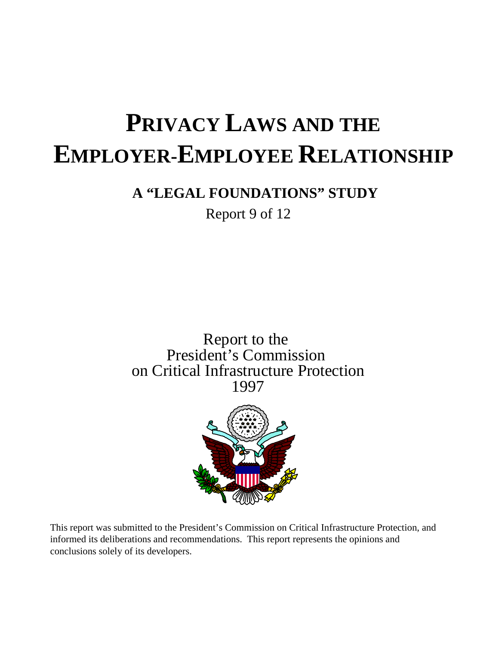# **PRIVACY LAWS AND THE EMPLOYER-EMPLOYEE RELATIONSHIP**

### **A "LEGAL FOUNDATIONS" STUDY**

Report 9 of 12

Report to the President's Commission on Critical Infrastructure Protection 1997



This report was submitted to the President's Commission on Critical Infrastructure Protection, and informed its deliberations and recommendations. This report represents the opinions and conclusions solely of its developers.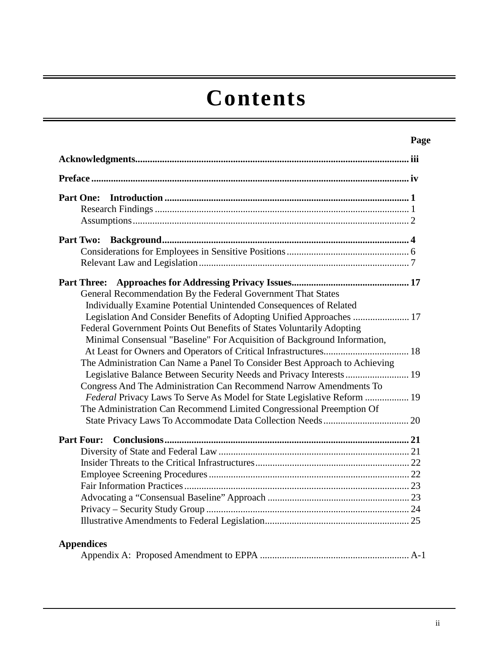# **Contents**

|                                                                                                                                                                                                                           | Page |
|---------------------------------------------------------------------------------------------------------------------------------------------------------------------------------------------------------------------------|------|
|                                                                                                                                                                                                                           |      |
|                                                                                                                                                                                                                           |      |
| <b>Part One:</b>                                                                                                                                                                                                          |      |
|                                                                                                                                                                                                                           |      |
|                                                                                                                                                                                                                           |      |
|                                                                                                                                                                                                                           |      |
| <b>Part Three:</b><br>General Recommendation By the Federal Government That States<br>Individually Examine Potential Unintended Consequences of Related                                                                   |      |
| Legislation And Consider Benefits of Adopting Unified Approaches  17<br>Federal Government Points Out Benefits of States Voluntarily Adopting<br>Minimal Consensual "Baseline" For Acquisition of Background Information, |      |
| The Administration Can Name a Panel To Consider Best Approach to Achieving                                                                                                                                                |      |
| Congress And The Administration Can Recommend Narrow Amendments To                                                                                                                                                        |      |
| Federal Privacy Laws To Serve As Model for State Legislative Reform  19<br>The Administration Can Recommend Limited Congressional Preemption Of                                                                           |      |
|                                                                                                                                                                                                                           |      |
| <b>Part Four:</b>                                                                                                                                                                                                         |      |
|                                                                                                                                                                                                                           |      |
|                                                                                                                                                                                                                           |      |
|                                                                                                                                                                                                                           |      |
|                                                                                                                                                                                                                           |      |
|                                                                                                                                                                                                                           |      |
|                                                                                                                                                                                                                           |      |
| <b>Appendices</b>                                                                                                                                                                                                         |      |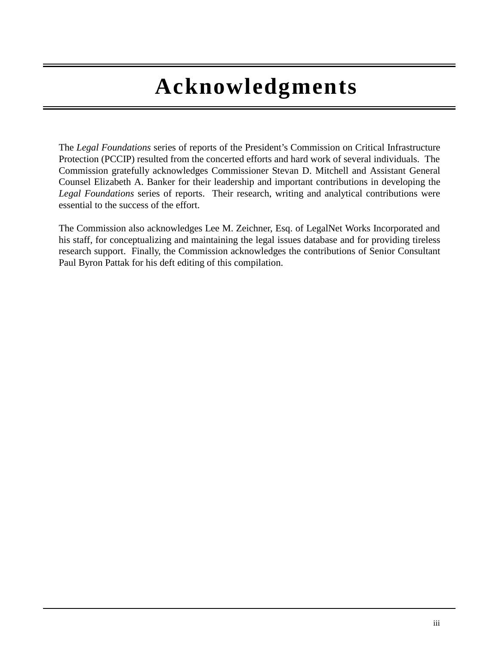# **Acknowledgments**

The *Legal Foundations* series of reports of the President's Commission on Critical Infrastructure Protection (PCCIP) resulted from the concerted efforts and hard work of several individuals. The Commission gratefully acknowledges Commissioner Stevan D. Mitchell and Assistant General Counsel Elizabeth A. Banker for their leadership and important contributions in developing the *Legal Foundations* series of reports. Their research, writing and analytical contributions were essential to the success of the effort.

The Commission also acknowledges Lee M. Zeichner, Esq. of LegalNet Works Incorporated and his staff, for conceptualizing and maintaining the legal issues database and for providing tireless research support. Finally, the Commission acknowledges the contributions of Senior Consultant Paul Byron Pattak for his deft editing of this compilation.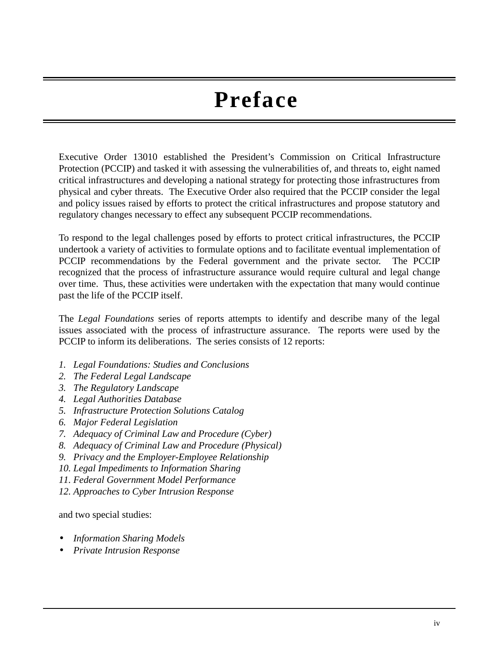# **Preface**

Executive Order 13010 established the President's Commission on Critical Infrastructure Protection (PCCIP) and tasked it with assessing the vulnerabilities of, and threats to, eight named critical infrastructures and developing a national strategy for protecting those infrastructures from physical and cyber threats. The Executive Order also required that the PCCIP consider the legal and policy issues raised by efforts to protect the critical infrastructures and propose statutory and regulatory changes necessary to effect any subsequent PCCIP recommendations.

To respond to the legal challenges posed by efforts to protect critical infrastructures, the PCCIP undertook a variety of activities to formulate options and to facilitate eventual implementation of PCCIP recommendations by the Federal government and the private sector. The PCCIP recognized that the process of infrastructure assurance would require cultural and legal change over time. Thus, these activities were undertaken with the expectation that many would continue past the life of the PCCIP itself.

The *Legal Foundations* series of reports attempts to identify and describe many of the legal issues associated with the process of infrastructure assurance. The reports were used by the PCCIP to inform its deliberations. The series consists of 12 reports:

- *1. Legal Foundations: Studies and Conclusions*
- *2. The Federal Legal Landscape*
- *3. The Regulatory Landscape*
- *4. Legal Authorities Database*
- *5. Infrastructure Protection Solutions Catalog*
- *6. Major Federal Legislation*
- *7. Adequacy of Criminal Law and Procedure (Cyber)*
- *8. Adequacy of Criminal Law and Procedure (Physical)*
- *9. Privacy and the Employer-Employee Relationship*
- *10. Legal Impediments to Information Sharing*
- *11. Federal Government Model Performance*
- *12. Approaches to Cyber Intrusion Response*

and two special studies:

- *Information Sharing Models*
- *Private Intrusion Response*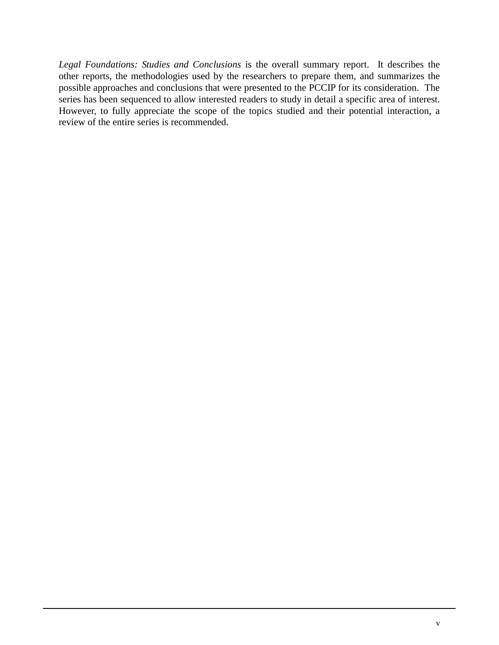*Legal Foundations: Studies and Conclusions* is the overall summary report. It describes the other reports, the methodologies used by the researchers to prepare them, and summarizes the possible approaches and conclusions that were presented to the PCCIP for its consideration. The series has been sequenced to allow interested readers to study in detail a specific area of interest. However, to fully appreciate the scope of the topics studied and their potential interaction, a review of the entire series is recommended.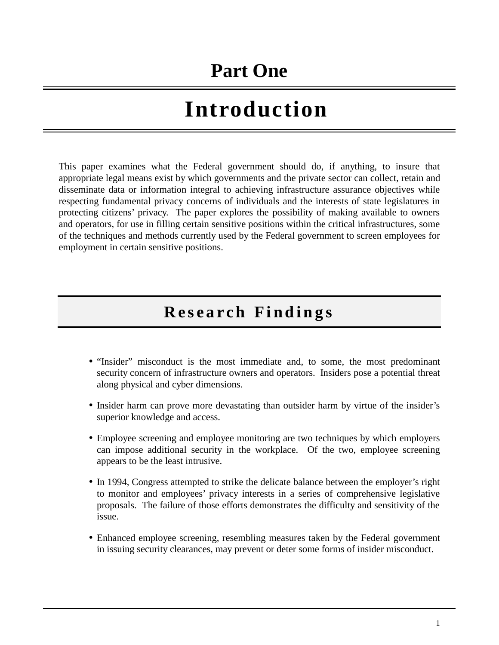## **Part One**

# **Introduction**

This paper examines what the Federal government should do, if anything, to insure that appropriate legal means exist by which governments and the private sector can collect, retain and disseminate data or information integral to achieving infrastructure assurance objectives while respecting fundamental privacy concerns of individuals and the interests of state legislatures in protecting citizens' privacy. The paper explores the possibility of making available to owners and operators, for use in filling certain sensitive positions within the critical infrastructures, some of the techniques and methods currently used by the Federal government to screen employees for employment in certain sensitive positions.

### **Research Findings**

- "Insider" misconduct is the most immediate and, to some, the most predominant security concern of infrastructure owners and operators. Insiders pose a potential threat along physical and cyber dimensions.
- Insider harm can prove more devastating than outsider harm by virtue of the insider's superior knowledge and access.
- Employee screening and employee monitoring are two techniques by which employers can impose additional security in the workplace. Of the two, employee screening appears to be the least intrusive.
- In 1994, Congress attempted to strike the delicate balance between the employer's right to monitor and employees' privacy interests in a series of comprehensive legislative proposals. The failure of those efforts demonstrates the difficulty and sensitivity of the issue.
- Enhanced employee screening, resembling measures taken by the Federal government in issuing security clearances, may prevent or deter some forms of insider misconduct.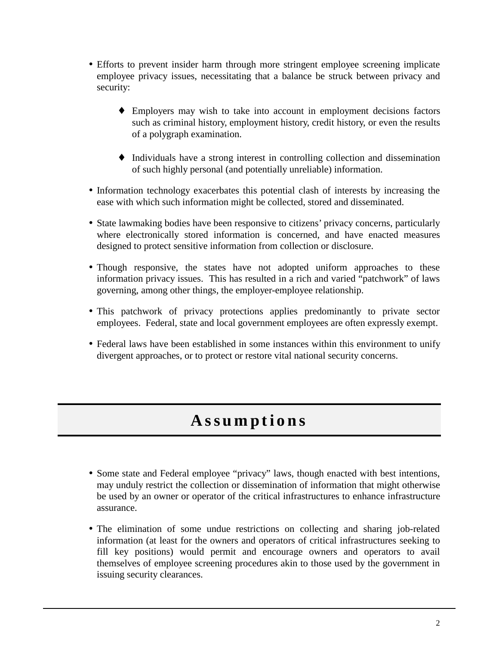- Efforts to prevent insider harm through more stringent employee screening implicate employee privacy issues, necessitating that a balance be struck between privacy and security:
	- ♦ Employers may wish to take into account in employment decisions factors such as criminal history, employment history, credit history, or even the results of a polygraph examination.
	- ♦ Individuals have a strong interest in controlling collection and dissemination of such highly personal (and potentially unreliable) information.
- Information technology exacerbates this potential clash of interests by increasing the ease with which such information might be collected, stored and disseminated.
- State lawmaking bodies have been responsive to citizens' privacy concerns, particularly where electronically stored information is concerned, and have enacted measures designed to protect sensitive information from collection or disclosure.
- Though responsive, the states have not adopted uniform approaches to these information privacy issues. This has resulted in a rich and varied "patchwork" of laws governing, among other things, the employer-employee relationship.
- This patchwork of privacy protections applies predominantly to private sector employees. Federal, state and local government employees are often expressly exempt.
- Federal laws have been established in some instances within this environment to unify divergent approaches, or to protect or restore vital national security concerns.

### **Assumptions**

- Some state and Federal employee "privacy" laws, though enacted with best intentions, may unduly restrict the collection or dissemination of information that might otherwise be used by an owner or operator of the critical infrastructures to enhance infrastructure assurance.
- The elimination of some undue restrictions on collecting and sharing job-related information (at least for the owners and operators of critical infrastructures seeking to fill key positions) would permit and encourage owners and operators to avail themselves of employee screening procedures akin to those used by the government in issuing security clearances.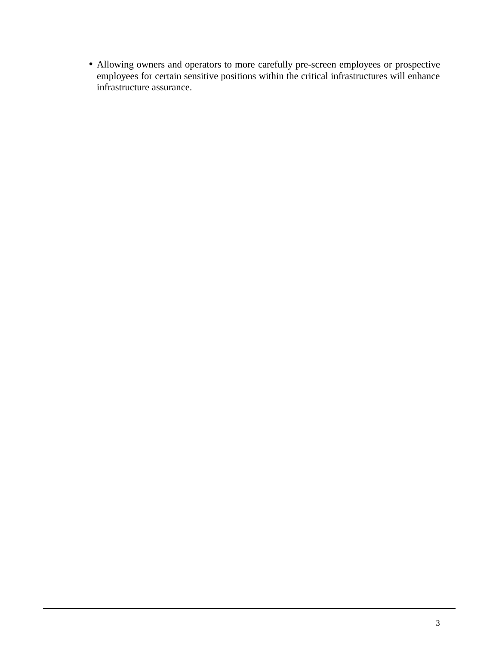• Allowing owners and operators to more carefully pre-screen employees or prospective employees for certain sensitive positions within the critical infrastructures will enhance infrastructure assurance.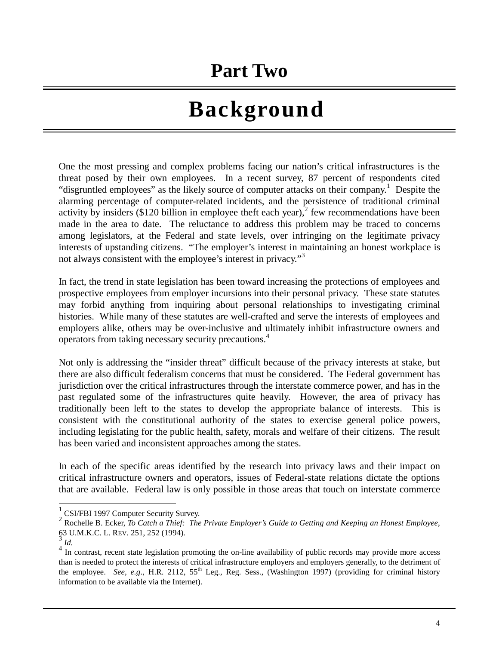## **Part Two**

# **Background**

One the most pressing and complex problems facing our nation's critical infrastructures is the threat posed by their own employees. In a recent survey, 87 percent of respondents cited "disgruntled employees" as the likely source of computer attacks on their company.<sup>1</sup> Despite the alarming percentage of computer-related incidents, and the persistence of traditional criminal activity by insiders (\$120 billion in employee theft each year), $\frac{1}{2}$  few recommendations have been made in the area to date. The reluctance to address this problem may be traced to concerns among legislators, at the Federal and state levels, over infringing on the legitimate privacy interests of upstanding citizens. "The employer's interest in maintaining an honest workplace is not always consistent with the employee's interest in privacy."<sup>3</sup>

In fact, the trend in state legislation has been toward increasing the protections of employees and prospective employees from employer incursions into their personal privacy. These state statutes may forbid anything from inquiring about personal relationships to investigating criminal histories. While many of these statutes are well-crafted and serve the interests of employees and employers alike, others may be over-inclusive and ultimately inhibit infrastructure owners and operators from taking necessary security precautions.<sup>4</sup>

Not only is addressing the "insider threat" difficult because of the privacy interests at stake, but there are also difficult federalism concerns that must be considered. The Federal government has jurisdiction over the critical infrastructures through the interstate commerce power, and has in the past regulated some of the infrastructures quite heavily. However, the area of privacy has traditionally been left to the states to develop the appropriate balance of interests. This is consistent with the constitutional authority of the states to exercise general police powers, including legislating for the public health, safety, morals and welfare of their citizens. The result has been varied and inconsistent approaches among the states.

In each of the specific areas identified by the research into privacy laws and their impact on critical infrastructure owners and operators, issues of Federal-state relations dictate the options that are available. Federal law is only possible in those areas that touch on interstate commerce

 1 CSI/FBI 1997 Computer Security Survey.

<sup>2</sup> <sup>2</sup> Rochelle B. Ecker, *To Catch a Thief: The Private Employer's Guide to Getting and Keeping an Honest Employee,* 63 U.M.K.C. L. REV. 251, 252 (1994). 63 U.M.K.C. L. REV. 251, 252 (1994). <sup>3</sup> *Id.* 4 In contrast, recent state legislation promoting the on-line availability of public records may provide more access

than is needed to protect the interests of critical infrastructure employers and employers generally, to the detriment of the employee. *See, e.g.*, H.R. 2112, 55<sup>th</sup> Leg., Reg. Sess., (Washington 1997) (providing for criminal history information to be available via the Internet).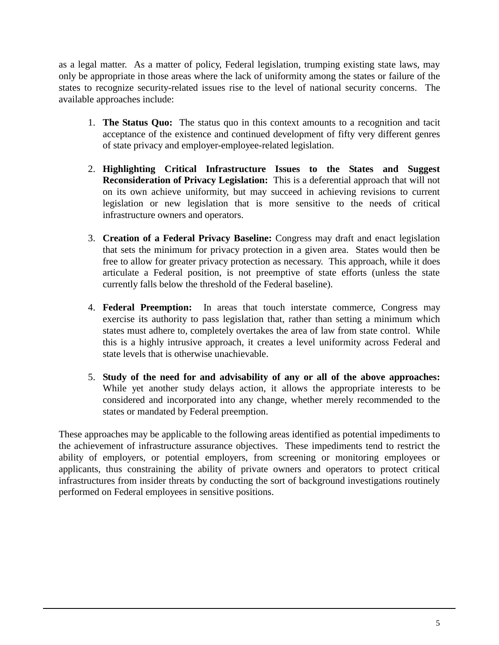as a legal matter. As a matter of policy, Federal legislation, trumping existing state laws, may only be appropriate in those areas where the lack of uniformity among the states or failure of the states to recognize security-related issues rise to the level of national security concerns. The available approaches include:

- 1. **The Status Quo:** The status quo in this context amounts to a recognition and tacit acceptance of the existence and continued development of fifty very different genres of state privacy and employer-employee-related legislation.
- 2. **Highlighting Critical Infrastructure Issues to the States and Suggest Reconsideration of Privacy Legislation:** This is a deferential approach that will not on its own achieve uniformity, but may succeed in achieving revisions to current legislation or new legislation that is more sensitive to the needs of critical infrastructure owners and operators.
- 3. **Creation of a Federal Privacy Baseline:** Congress may draft and enact legislation that sets the minimum for privacy protection in a given area. States would then be free to allow for greater privacy protection as necessary. This approach, while it does articulate a Federal position, is not preemptive of state efforts (unless the state currently falls below the threshold of the Federal baseline).
- 4. **Federal Preemption:** In areas that touch interstate commerce, Congress may exercise its authority to pass legislation that, rather than setting a minimum which states must adhere to, completely overtakes the area of law from state control. While this is a highly intrusive approach, it creates a level uniformity across Federal and state levels that is otherwise unachievable.
- 5. **Study of the need for and advisability of any or all of the above approaches:** While yet another study delays action, it allows the appropriate interests to be considered and incorporated into any change, whether merely recommended to the states or mandated by Federal preemption.

These approaches may be applicable to the following areas identified as potential impediments to the achievement of infrastructure assurance objectives. These impediments tend to restrict the ability of employers, or potential employers, from screening or monitoring employees or applicants, thus constraining the ability of private owners and operators to protect critical infrastructures from insider threats by conducting the sort of background investigations routinely performed on Federal employees in sensitive positions.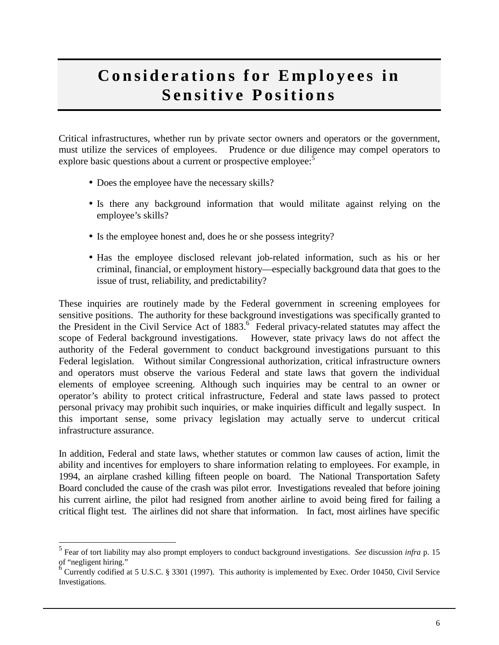### **Considerations for Employees in Sensitive Positions**

Critical infrastructures, whether run by private sector owners and operators or the government, must utilize the services of employees. Prudence or due diligence may compel operators to explore basic questions about a current or prospective employee:<sup>5</sup>

- Does the employee have the necessary skills?
- Is there any background information that would militate against relying on the employee's skills?
- Is the employee honest and, does he or she possess integrity?
- Has the employee disclosed relevant job-related information, such as his or her criminal, financial, or employment history—especially background data that goes to the issue of trust, reliability, and predictability?

These inquiries are routinely made by the Federal government in screening employees for sensitive positions. The authority for these background investigations was specifically granted to the President in the Civil Service Act of 1883.<sup>6</sup> Federal privacy-related statutes may affect the scope of Federal background investigations. However, state privacy laws do not affect the authority of the Federal government to conduct background investigations pursuant to this Federal legislation. Without similar Congressional authorization, critical infrastructure owners and operators must observe the various Federal and state laws that govern the individual elements of employee screening. Although such inquiries may be central to an owner or operator's ability to protect critical infrastructure, Federal and state laws passed to protect personal privacy may prohibit such inquiries, or make inquiries difficult and legally suspect. In this important sense, some privacy legislation may actually serve to undercut critical infrastructure assurance.

In addition, Federal and state laws, whether statutes or common law causes of action, limit the ability and incentives for employers to share information relating to employees. For example, in 1994, an airplane crashed killing fifteen people on board. The National Transportation Safety Board concluded the cause of the crash was pilot error. Investigations revealed that before joining his current airline, the pilot had resigned from another airline to avoid being fired for failing a critical flight test. The airlines did not share that information. In fact, most airlines have specific

 5 Fear of tort liability may also prompt employers to conduct background investigations. *See* discussion *infra* p. 15 of "negligent hiring."

Currently codified at 5 U.S.C. § 3301 (1997). This authority is implemented by Exec. Order 10450, Civil Service Investigations.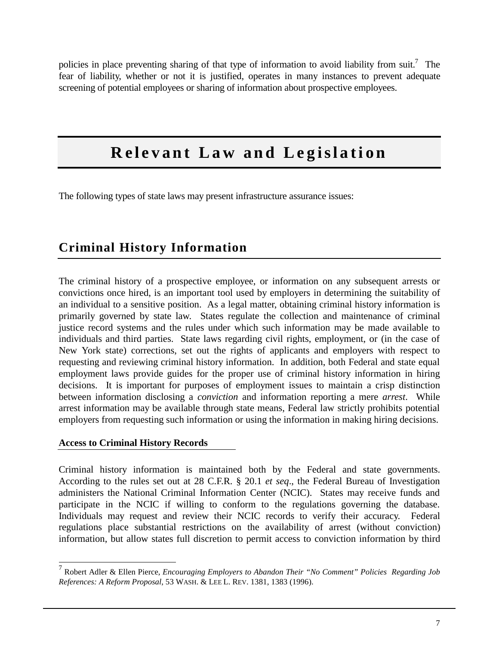policies in place preventing sharing of that type of information to avoid liability from suit.<sup>7</sup> The fear of liability, whether or not it is justified, operates in many instances to prevent adequate screening of potential employees or sharing of information about prospective employees.

### **Relevant Law and Legislation**

The following types of state laws may present infrastructure assurance issues:

### **Criminal History Information**

The criminal history of a prospective employee, or information on any subsequent arrests or convictions once hired, is an important tool used by employers in determining the suitability of an individual to a sensitive position. As a legal matter, obtaining criminal history information is primarily governed by state law. States regulate the collection and maintenance of criminal justice record systems and the rules under which such information may be made available to individuals and third parties. State laws regarding civil rights, employment, or (in the case of New York state) corrections, set out the rights of applicants and employers with respect to requesting and reviewing criminal history information. In addition, both Federal and state equal employment laws provide guides for the proper use of criminal history information in hiring decisions. It is important for purposes of employment issues to maintain a crisp distinction between information disclosing a *conviction* and information reporting a mere *arrest*. While arrest information may be available through state means, Federal law strictly prohibits potential employers from requesting such information or using the information in making hiring decisions.

#### **Access to Criminal History Records**

Criminal history information is maintained both by the Federal and state governments. According to the rules set out at 28 C.F.R. § 20.1 *et seq*., the Federal Bureau of Investigation administers the National Criminal Information Center (NCIC). States may receive funds and participate in the NCIC if willing to conform to the regulations governing the database. Individuals may request and review their NCIC records to verify their accuracy. Federal regulations place substantial restrictions on the availability of arrest (without conviction) information, but allow states full discretion to permit access to conviction information by third

 7 Robert Adler & Ellen Pierce, *Encouraging Employers to Abandon Their "No Comment" Policies Regarding Job References: A Reform Proposal*, 53 WASH. & LEE L. REV. 1381, 1383 (1996).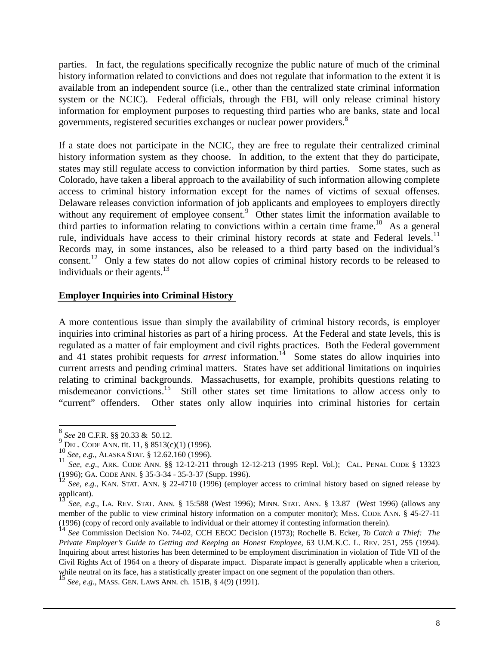parties. In fact, the regulations specifically recognize the public nature of much of the criminal history information related to convictions and does not regulate that information to the extent it is available from an independent source (i.e., other than the centralized state criminal information system or the NCIC). Federal officials, through the FBI, will only release criminal history information for employment purposes to requesting third parties who are banks, state and local governments, registered securities exchanges or nuclear power providers.<sup>8</sup>

If a state does not participate in the NCIC, they are free to regulate their centralized criminal history information system as they choose. In addition, to the extent that they do participate, states may still regulate access to conviction information by third parties. Some states, such as Colorado, have taken a liberal approach to the availability of such information allowing complete access to criminal history information except for the names of victims of sexual offenses. Delaware releases conviction information of job applicants and employees to employers directly without any requirement of employee consent.<sup>9</sup> Other states limit the information available to third parties to information relating to convictions within a certain time frame.<sup>10</sup> As a general rule, individuals have access to their criminal history records at state and Federal levels.<sup>11</sup> Records may, in some instances, also be released to a third party based on the individual's consent.<sup>12</sup> Only a few states do not allow copies of criminal history records to be released to individuals or their agents. $13$ 

#### **Employer Inquiries into Criminal History**

A more contentious issue than simply the availability of criminal history records, is employer inquiries into criminal histories as part of a hiring process. At the Federal and state levels, this is regulated as a matter of fair employment and civil rights practices. Both the Federal government and 41 states prohibit requests for *arrest* information.<sup>14</sup> Some states do allow inquiries into current arrests and pending criminal matters. States have set additional limitations on inquiries relating to criminal backgrounds. Massachusetts, for example, prohibits questions relating to misdemeanor convictions.<sup>15</sup> Still other states set time limitations to allow access only to "current" offenders. Other states only allow inquiries into criminal histories for certain

 $\overline{\phantom{a}}$ 

<sup>&</sup>lt;sup>8</sup> *See* 28 C.F.R. §§ 20.33 & 50.12.

<sup>&</sup>lt;sup>9</sup> DEL. CODE ANN. tit. 11, § 8513(c)(1) (1996).<br><sup>10</sup> See, e.g., ALASKA STAT. § 12.62.160 (1996).<br><sup>11</sup> See, e.g., ARK. CODE ANN. §§ 12-12-211 through 12-12-213 (1995 Repl. Vol.); CAL. PENAL CODE § 13323<br>(1996); GA. CODE AN

See, e.g., KAN. STAT. ANN. § 22-4710 (1996) (employer access to criminal history based on signed release by applicant).

<sup>13</sup> *See, e*.*g*., LA. REV. STAT. ANN. § 15:588 (West 1996); MINN. STAT. ANN. § 13.87 (West 1996) (allows any member of the public to view criminal history information on a computer monitor); MISS. CODE ANN. § 45-27-11 (1996) (copy of record only available to individual or their attorney if contesting information therein).

<sup>14</sup> *See* Commission Decision No. 74-02, CCH EEOC Decision (1973); Rochelle B. Ecker, *To Catch a Thief: The Private Employer's Guide to Getting and Keeping an Honest Employee*, 63 U.M.K.C. L. REV. 251, 255 (1994). Inquiring about arrest histories has been determined to be employment discrimination in violation of Title VII of the Civil Rights Act of 1964 on a theory of disparate impact. Disparate impact is generally applicable when a criterion, while neutral on its face, has a statistically greater impact on one segment of the population than others.

<sup>15</sup> *See, e*.*g*.*,* MASS. GEN. LAWS ANN. ch. 151B, § 4(9) (1991).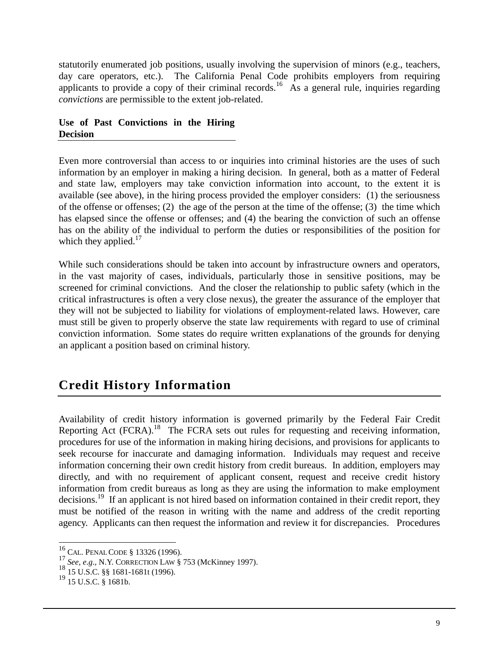statutorily enumerated job positions, usually involving the supervision of minors (e.g., teachers, day care operators, etc.). The California Penal Code prohibits employers from requiring applicants to provide a copy of their criminal records.<sup>16</sup> As a general rule, inquiries regarding *convictions* are permissible to the extent job-related.

#### **Use of Past Convictions in the Hiring Decision**

Even more controversial than access to or inquiries into criminal histories are the uses of such information by an employer in making a hiring decision. In general, both as a matter of Federal and state law, employers may take conviction information into account, to the extent it is available (see above), in the hiring process provided the employer considers: (1) the seriousness of the offense or offenses; (2) the age of the person at the time of the offense; (3) the time which has elapsed since the offense or offenses; and (4) the bearing the conviction of such an offense has on the ability of the individual to perform the duties or responsibilities of the position for which they applied. $17$ 

While such considerations should be taken into account by infrastructure owners and operators, in the vast majority of cases, individuals, particularly those in sensitive positions, may be screened for criminal convictions. And the closer the relationship to public safety (which in the critical infrastructures is often a very close nexus), the greater the assurance of the employer that they will not be subjected to liability for violations of employment-related laws. However, care must still be given to properly observe the state law requirements with regard to use of criminal conviction information. Some states do require written explanations of the grounds for denying an applicant a position based on criminal history.

### **Credit History Information**

Availability of credit history information is governed primarily by the Federal Fair Credit Reporting Act (FCRA).<sup>18</sup> The FCRA sets out rules for requesting and receiving information, procedures for use of the information in making hiring decisions, and provisions for applicants to seek recourse for inaccurate and damaging information. Individuals may request and receive information concerning their own credit history from credit bureaus. In addition, employers may directly, and with no requirement of applicant consent, request and receive credit history information from credit bureaus as long as they are using the information to make employment decisions.<sup>19</sup> If an applicant is not hired based on information contained in their credit report, they must be notified of the reason in writing with the name and address of the credit reporting agency. Applicants can then request the information and review it for discrepancies. Procedures

 $^{16}_{\odot}$  CAL. PENAL CODE § 13326 (1996).

<sup>17</sup> *See, e.g.*, N.Y. CORRECTION LAW § 753 (McKinney 1997).<br>
<sup>18</sup> *See, e.g.*, N.Y. CORRECTION LAW § 753 (McKinney 1997).<br>
<sup>18</sup> 15 U.S.C. § 1681-1681t (1996).<br>
<sup>19</sup> 15 U.S.C. § 1681b.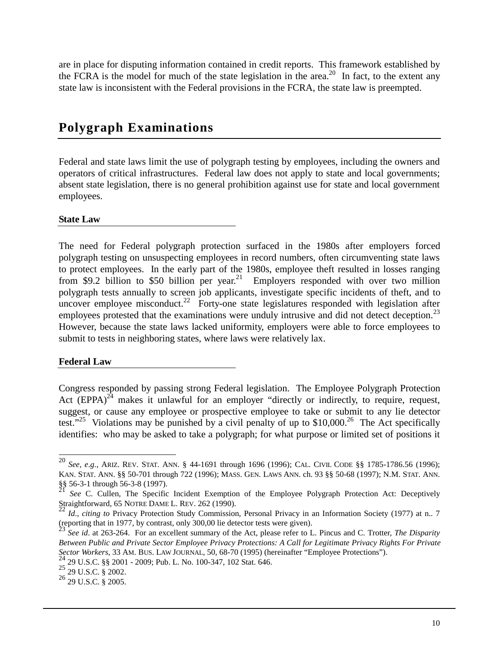are in place for disputing information contained in credit reports. This framework established by the FCRA is the model for much of the state legislation in the area.<sup>20</sup> In fact, to the extent any state law is inconsistent with the Federal provisions in the FCRA, the state law is preempted.

#### **Polygraph Examinations**

Federal and state laws limit the use of polygraph testing by employees, including the owners and operators of critical infrastructures. Federal law does not apply to state and local governments; absent state legislation, there is no general prohibition against use for state and local government employees.

**State Law**

The need for Federal polygraph protection surfaced in the 1980s after employers forced polygraph testing on unsuspecting employees in record numbers, often circumventing state laws to protect employees. In the early part of the 1980s, employee theft resulted in losses ranging from \$9.2 billion to \$50 billion per year.<sup>21</sup> Employers responded with over two million polygraph tests annually to screen job applicants, investigate specific incidents of theft, and to uncover employee misconduct.<sup>22</sup> Forty-one state legislatures responded with legislation after employees protested that the examinations were unduly intrusive and did not detect deception.<sup>23</sup> However, because the state laws lacked uniformity, employers were able to force employees to submit to tests in neighboring states, where laws were relatively lax.

#### **Federal Law**

 $\overline{\phantom{a}}$ 

Congress responded by passing strong Federal legislation. The Employee Polygraph Protection Act  $(EPPA)^{24}$  makes it unlawful for an employer "directly or indirectly, to require, request, suggest, or cause any employee or prospective employee to take or submit to any lie detector test."<sup>25</sup> Violations may be punished by a civil penalty of up to \$10,000.<sup>26</sup> The Act specifically identifies: who may be asked to take a polygraph; for what purpose or limited set of positions it

<sup>20</sup> *See, e*.*g*., ARIZ. REV. STAT. ANN. § 44-1691 through 1696 (1996); CAL. CIVIL CODE §§ 1785-1786.56 (1996); KAN. STAT. ANN. §§ 50-701 through 722 (1996); MASS. GEN. LAWS ANN. ch. 93 §§ 50-68 (1997); N.M. STAT. ANN. §§ 56-3-1 through 56-3-8 (1997).

<sup>&</sup>lt;sup>21</sup> See C. Cullen, The Specific Incident Exemption of the Employee Polygraph Protection Act: Deceptively Straightforward, 65 NOTRE DAME L. REV. 262 (1990).

Id., citing to Privacy Protection Study Commission, Personal Privacy in an Information Society (1977) at n.. 7 (reporting that in 1977, by contrast, only 300,00 lie detector tests were given).

<sup>23</sup> *See id*. at 263-264. For an excellent summary of the Act, please refer to L. Pincus and C. Trotter, *The Disparity Between Public and Private Sector Employee Privacy Protections: A Call for Legitimate Privacy Rights For Private Sector Workers*, 33 AM. BUS. LAW JOURNAL, 50, 68-70 (1995) (hereinafter "Employee Protections"). <sup>24</sup> 29 U.S.C. §§ 2001 - 2009; Pub. L. No. 100-347, 102 Stat. 646. <sup>25</sup> 29 U.S.C. § 2002. <sup>26</sup> 29 U.S.C. § 2005.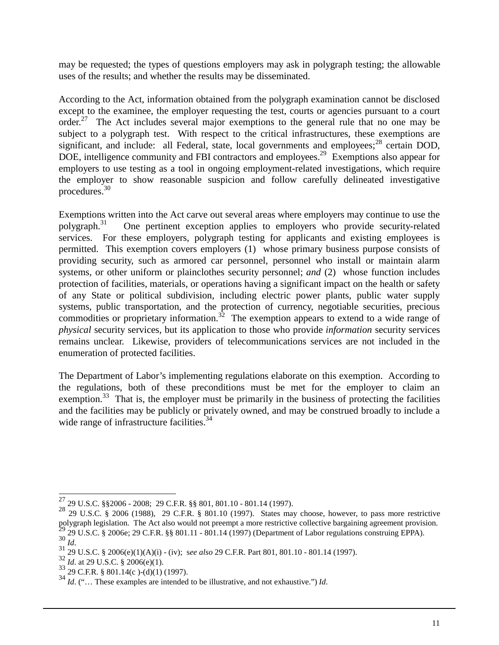may be requested; the types of questions employers may ask in polygraph testing; the allowable uses of the results; and whether the results may be disseminated.

According to the Act, information obtained from the polygraph examination cannot be disclosed except to the examinee, the employer requesting the test, courts or agencies pursuant to a court order.<sup>27</sup> The Act includes several major exemptions to the general rule that no one may be subject to a polygraph test. With respect to the critical infrastructures, these exemptions are significant, and include: all Federal, state, local governments and employees; $^{28}$  certain DOD, DOE, intelligence community and FBI contractors and employees.<sup>29</sup> Exemptions also appear for employers to use testing as a tool in ongoing employment-related investigations, which require the employer to show reasonable suspicion and follow carefully delineated investigative procedures.<sup>30</sup>

Exemptions written into the Act carve out several areas where employers may continue to use the polygraph. $31$  One pertinent exception applies to employers who provide security-related services. For these employers, polygraph testing for applicants and existing employees is permitted. This exemption covers employers (1) whose primary business purpose consists of providing security, such as armored car personnel, personnel who install or maintain alarm systems, or other uniform or plainclothes security personnel; *and* (2) whose function includes protection of facilities, materials, or operations having a significant impact on the health or safety of any State or political subdivision, including electric power plants, public water supply systems, public transportation, and the protection of currency, negotiable securities, precious commodities or proprietary information.<sup>32</sup> The exemption appears to extend to a wide range of *physical* security services, but its application to those who provide *information* security services remains unclear. Likewise, providers of telecommunications services are not included in the enumeration of protected facilities.

The Department of Labor's implementing regulations elaborate on this exemption. According to the regulations, both of these preconditions must be met for the employer to claim an exemption. $33$  That is, the employer must be primarily in the business of protecting the facilities and the facilities may be publicly or privately owned, and may be construed broadly to include a wide range of infrastructure facilities.<sup>34</sup>

 $^{27}$  29 U.S.C. §§2006 - 2008; 29 C.F.R. §§ 801, 801.10 - 801.14 (1997).

 $28\frac{29 \text{ U.S.C. } $2006 \text{ (1988)}, \text{ }29 \text{ C.F.R. } $801.10 \text{ (1997)}.$  States may choose, however, to pass more restrictive polygraph legislation. The Act also would not preempt a more restrictive collective bargaining agreement provision.<br>
<sup>29</sup> 29 U.S.C. § 2006e; 29 C.F.R. §§ 801.11 - 801.14 (1997) (Department of Labor regulations construing E

<sup>&</sup>lt;sup>30</sup> *Id.*<br>
<sup>31</sup> 29 U.S.C. § 2006(e)(1)(A)(i) - (iv); see also 29 C.F.R. Part 801, 801.10 - 801.14 (1997).<br>
<sup>32</sup> *Id.* at 29 U.S.C. § 2006(e)(1).<br>
<sup>33</sup> 29 C.F.R. § 801.14(c)-(d)(1) (1997).<br>
<sup>34</sup> *Id.* ("... These examples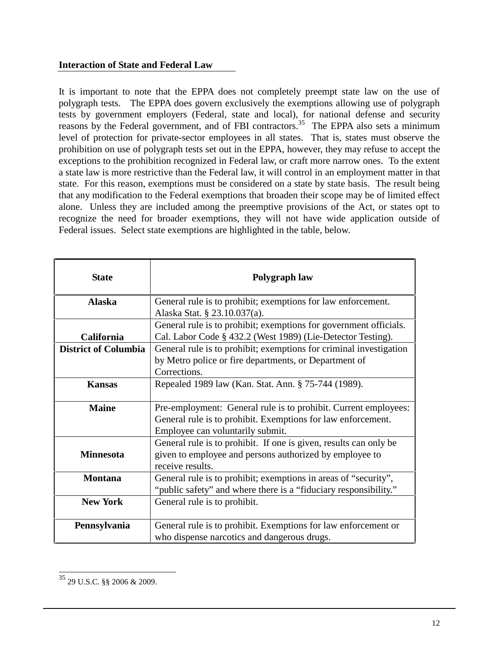#### **Interaction of State and Federal Law**

It is important to note that the EPPA does not completely preempt state law on the use of polygraph tests. The EPPA does govern exclusively the exemptions allowing use of polygraph tests by government employers (Federal, state and local), for national defense and security reasons by the Federal government, and of FBI contractors.<sup>35</sup> The EPPA also sets a minimum level of protection for private-sector employees in all states. That is, states must observe the prohibition on use of polygraph tests set out in the EPPA, however, they may refuse to accept the exceptions to the prohibition recognized in Federal law, or craft more narrow ones. To the extent a state law is more restrictive than the Federal law, it will control in an employment matter in that state. For this reason, exemptions must be considered on a state by state basis. The result being that any modification to the Federal exemptions that broaden their scope may be of limited effect alone. Unless they are included among the preemptive provisions of the Act, or states opt to recognize the need for broader exemptions, they will not have wide application outside of Federal issues. Select state exemptions are highlighted in the table, below.

| <b>State</b>                | Polygraph law                                                                                                                                                       |
|-----------------------------|---------------------------------------------------------------------------------------------------------------------------------------------------------------------|
| <b>Alaska</b>               | General rule is to prohibit; exemptions for law enforcement.<br>Alaska Stat. § 23.10.037(a).                                                                        |
| <b>California</b>           | General rule is to prohibit; exemptions for government officials.<br>Cal. Labor Code § 432.2 (West 1989) (Lie-Detector Testing).                                    |
| <b>District of Columbia</b> | General rule is to prohibit; exemptions for criminal investigation<br>by Metro police or fire departments, or Department of<br>Corrections.                         |
| <b>Kansas</b>               | Repealed 1989 law (Kan. Stat. Ann. § 75-744 (1989).                                                                                                                 |
| <b>Maine</b>                | Pre-employment: General rule is to prohibit. Current employees:<br>General rule is to prohibit. Exemptions for law enforcement.<br>Employee can voluntarily submit. |
| <b>Minnesota</b>            | General rule is to prohibit. If one is given, results can only be<br>given to employee and persons authorized by employee to<br>receive results.                    |
| <b>Montana</b>              | General rule is to prohibit; exemptions in areas of "security",<br>"public safety" and where there is a "fiduciary responsibility."                                 |
| <b>New York</b>             | General rule is to prohibit.                                                                                                                                        |
| Pennsylvania                | General rule is to prohibit. Exemptions for law enforcement or<br>who dispense narcotics and dangerous drugs.                                                       |

 $\overline{\phantom{a}}$ 35 29 U.S.C. §§ 2006 & 2009.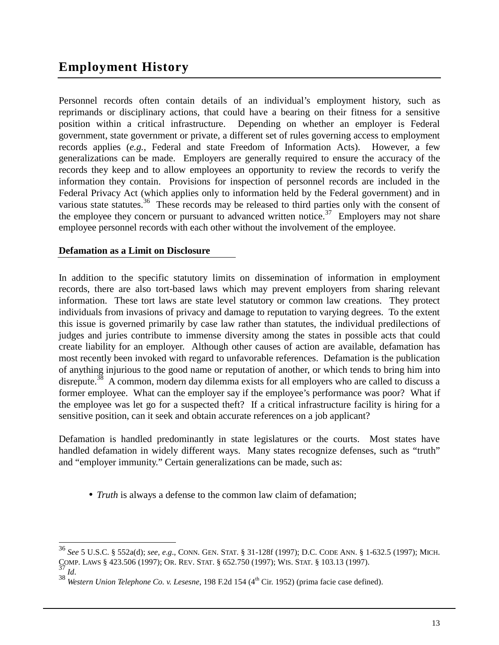### **Employment History**

Personnel records often contain details of an individual's employment history, such as reprimands or disciplinary actions, that could have a bearing on their fitness for a sensitive position within a critical infrastructure. Depending on whether an employer is Federal government, state government or private, a different set of rules governing access to employment records applies (*e.g.*, Federal and state Freedom of Information Acts). However, a few generalizations can be made. Employers are generally required to ensure the accuracy of the records they keep and to allow employees an opportunity to review the records to verify the information they contain. Provisions for inspection of personnel records are included in the Federal Privacy Act (which applies only to information held by the Federal government) and in various state statutes.<sup>36</sup> These records may be released to third parties only with the consent of the employee they concern or pursuant to advanced written notice.<sup>37</sup> Employers may not share employee personnel records with each other without the involvement of the employee.

#### **Defamation as a Limit on Disclosure**

In addition to the specific statutory limits on dissemination of information in employment records, there are also tort-based laws which may prevent employers from sharing relevant information. These tort laws are state level statutory or common law creations. They protect individuals from invasions of privacy and damage to reputation to varying degrees. To the extent this issue is governed primarily by case law rather than statutes, the individual predilections of judges and juries contribute to immense diversity among the states in possible acts that could create liability for an employer. Although other causes of action are available, defamation has most recently been invoked with regard to unfavorable references. Defamation is the publication of anything injurious to the good name or reputation of another, or which tends to bring him into disrepute.<sup>38</sup> A common, modern day dilemma exists for all employers who are called to discuss a former employee. What can the employer say if the employee's performance was poor? What if the employee was let go for a suspected theft? If a critical infrastructure facility is hiring for a sensitive position, can it seek and obtain accurate references on a job applicant?

Defamation is handled predominantly in state legislatures or the courts. Most states have handled defamation in widely different ways. Many states recognize defenses, such as "truth" and "employer immunity." Certain generalizations can be made, such as:

• *Truth* is always a defense to the common law claim of defamation;

 $\overline{\phantom{a}}$ 

<sup>36</sup> *See* 5 U.S.C. § 552a(d); *see, e*.*g*., CONN. GEN. STAT. § 31-128f (1997); D.C. CODE ANN. § 1-632.5 (1997); MICH. COMP. LAWS § 423.506 (1997); OR. REV. STAT. § 652.750 (1997); WIS. STAT. § 103.13 (1997).<br><sup>37</sup> *Id.* 38 *Western Union Telephone Co. v. Lesesne*, 198 F.2d 154 (4<sup>th</sup> Cir. 1952) (prima facie case defined).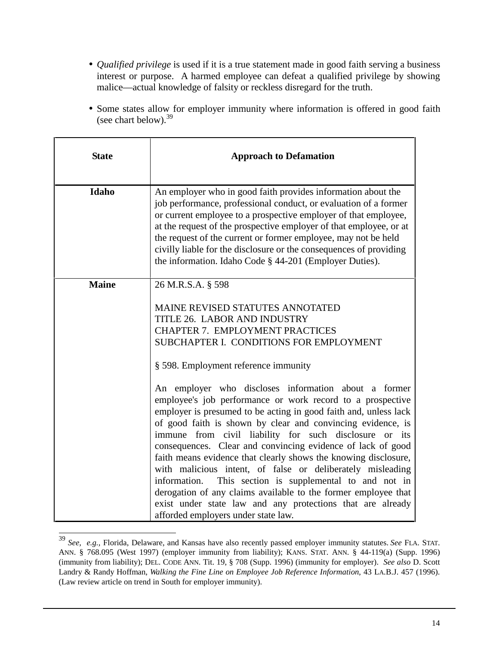- *Qualified privilege* is used if it is a true statement made in good faith serving a business interest or purpose. A harmed employee can defeat a qualified privilege by showing malice—actual knowledge of falsity or reckless disregard for the truth.
- Some states allow for employer immunity where information is offered in good faith (see chart below).  $39$

| <b>State</b> | <b>Approach to Defamation</b>                                                                                                                                                                                                                                                                                                                                                                                                                                                                                                                                                                                                                                                                                                                                                                                                                                                                                                                                           |
|--------------|-------------------------------------------------------------------------------------------------------------------------------------------------------------------------------------------------------------------------------------------------------------------------------------------------------------------------------------------------------------------------------------------------------------------------------------------------------------------------------------------------------------------------------------------------------------------------------------------------------------------------------------------------------------------------------------------------------------------------------------------------------------------------------------------------------------------------------------------------------------------------------------------------------------------------------------------------------------------------|
| Idaho        | An employer who in good faith provides information about the<br>job performance, professional conduct, or evaluation of a former<br>or current employee to a prospective employer of that employee,<br>at the request of the prospective employer of that employee, or at<br>the request of the current or former employee, may not be held<br>civilly liable for the disclosure or the consequences of providing<br>the information. Idaho Code § 44-201 (Employer Duties).                                                                                                                                                                                                                                                                                                                                                                                                                                                                                            |
| <b>Maine</b> | 26 M.R.S.A. § 598<br>MAINE REVISED STATUTES ANNOTATED<br>TITLE 26. LABOR AND INDUSTRY<br><b>CHAPTER 7. EMPLOYMENT PRACTICES</b><br>SUBCHAPTER I. CONDITIONS FOR EMPLOYMENT<br>§ 598. Employment reference immunity<br>An employer who discloses information about a former<br>employee's job performance or work record to a prospective<br>employer is presumed to be acting in good faith and, unless lack<br>of good faith is shown by clear and convincing evidence, is<br>immune from civil liability for such disclosure or its<br>consequences. Clear and convincing evidence of lack of good<br>faith means evidence that clearly shows the knowing disclosure,<br>with malicious intent, of false or deliberately misleading<br>information. This section is supplemental to and not in<br>derogation of any claims available to the former employee that<br>exist under state law and any protections that are already<br>afforded employers under state law. |

 $\overline{\phantom{a}}$ <sup>39</sup> *See, e.g.,* Florida, Delaware, and Kansas have also recently passed employer immunity statutes. *See* FLA. STAT. ANN. § 768.095 (West 1997) (employer immunity from liability); KANS. STAT. ANN. § 44-119(a) (Supp. 1996) (immunity from liability); DEL. CODE ANN. Tit. 19, § 708 (Supp. 1996) (immunity for employer). *See also* D. Scott Landry & Randy Hoffman, *Walking the Fine Line on Employee Job Reference Information*, 43 LA.B.J. 457 (1996). (Law review article on trend in South for employer immunity).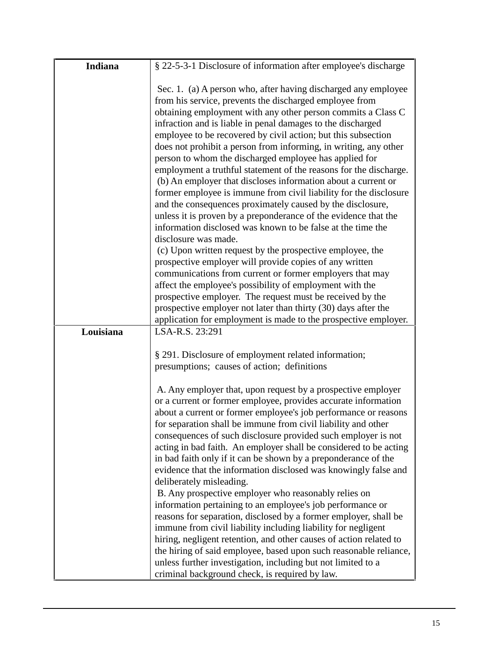| Indiana   | § 22-5-3-1 Disclosure of information after employee's discharge                                                                                                                                                                                                                                                                                                                                                                                                                                                                                                                                                                                                                                                                                                                                                                                                                            |
|-----------|--------------------------------------------------------------------------------------------------------------------------------------------------------------------------------------------------------------------------------------------------------------------------------------------------------------------------------------------------------------------------------------------------------------------------------------------------------------------------------------------------------------------------------------------------------------------------------------------------------------------------------------------------------------------------------------------------------------------------------------------------------------------------------------------------------------------------------------------------------------------------------------------|
|           | Sec. 1. (a) A person who, after having discharged any employee<br>from his service, prevents the discharged employee from<br>obtaining employment with any other person commits a Class C<br>infraction and is liable in penal damages to the discharged<br>employee to be recovered by civil action; but this subsection<br>does not prohibit a person from informing, in writing, any other<br>person to whom the discharged employee has applied for<br>employment a truthful statement of the reasons for the discharge.<br>(b) An employer that discloses information about a current or<br>former employee is immune from civil liability for the disclosure<br>and the consequences proximately caused by the disclosure,<br>unless it is proven by a preponderance of the evidence that the<br>information disclosed was known to be false at the time the<br>disclosure was made. |
|           | (c) Upon written request by the prospective employee, the<br>prospective employer will provide copies of any written<br>communications from current or former employers that may<br>affect the employee's possibility of employment with the<br>prospective employer. The request must be received by the<br>prospective employer not later than thirty (30) days after the<br>application for employment is made to the prospective employer.                                                                                                                                                                                                                                                                                                                                                                                                                                             |
| Louisiana | LSA-R.S. 23:291                                                                                                                                                                                                                                                                                                                                                                                                                                                                                                                                                                                                                                                                                                                                                                                                                                                                            |
|           | § 291. Disclosure of employment related information;<br>presumptions; causes of action; definitions                                                                                                                                                                                                                                                                                                                                                                                                                                                                                                                                                                                                                                                                                                                                                                                        |
|           | A. Any employer that, upon request by a prospective employer<br>or a current or former employee, provides accurate information<br>about a current or former employee's job performance or reasons<br>for separation shall be immune from civil liability and other<br>consequences of such disclosure provided such employer is not<br>acting in bad faith. An employer shall be considered to be acting<br>in bad faith only if it can be shown by a preponderance of the<br>evidence that the information disclosed was knowingly false and<br>deliberately misleading.                                                                                                                                                                                                                                                                                                                  |
|           | B. Any prospective employer who reasonably relies on<br>information pertaining to an employee's job performance or<br>reasons for separation, disclosed by a former employer, shall be<br>immune from civil liability including liability for negligent<br>hiring, negligent retention, and other causes of action related to<br>the hiring of said employee, based upon such reasonable reliance,<br>unless further investigation, including but not limited to a<br>criminal background check, is required by law.                                                                                                                                                                                                                                                                                                                                                                       |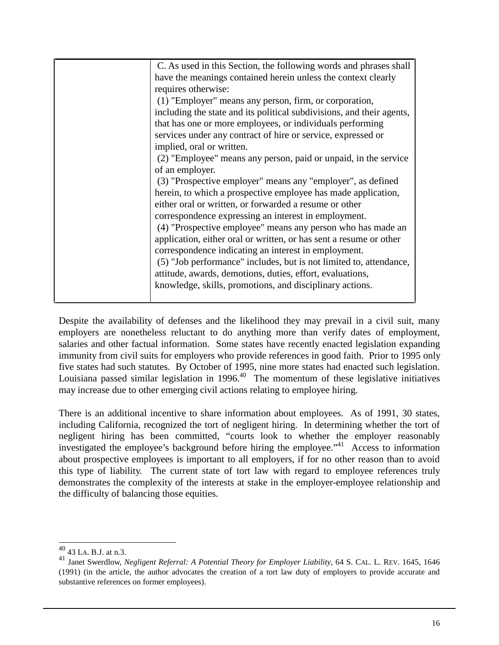| C. As used in this Section, the following words and phrases shall     |
|-----------------------------------------------------------------------|
| have the meanings contained herein unless the context clearly         |
| requires otherwise:                                                   |
| (1) "Employer" means any person, firm, or corporation,                |
| including the state and its political subdivisions, and their agents, |
| that has one or more employees, or individuals performing             |
| services under any contract of hire or service, expressed or          |
| implied, oral or written.                                             |
| (2) "Employee" means any person, paid or unpaid, in the service       |
| of an employer.                                                       |
| (3) "Prospective employer" means any "employer", as defined           |
| herein, to which a prospective employee has made application,         |
| either oral or written, or forwarded a resume or other                |
| correspondence expressing an interest in employment.                  |
| (4) "Prospective employee" means any person who has made an           |
| application, either oral or written, or has sent a resume or other    |
| correspondence indicating an interest in employment.                  |
| (5) "Job performance" includes, but is not limited to, attendance,    |
| attitude, awards, demotions, duties, effort, evaluations,             |
| knowledge, skills, promotions, and disciplinary actions.              |
|                                                                       |

Despite the availability of defenses and the likelihood they may prevail in a civil suit, many employers are nonetheless reluctant to do anything more than verify dates of employment, salaries and other factual information. Some states have recently enacted legislation expanding immunity from civil suits for employers who provide references in good faith. Prior to 1995 only five states had such statutes. By October of 1995, nine more states had enacted such legislation. Louisiana passed similar legislation in  $1996<sup>40</sup>$  The momentum of these legislative initiatives may increase due to other emerging civil actions relating to employee hiring.

There is an additional incentive to share information about employees. As of 1991, 30 states, including California, recognized the tort of negligent hiring. In determining whether the tort of negligent hiring has been committed, "courts look to whether the employer reasonably investigated the employee's background before hiring the employee."41 Access to information about prospective employees is important to all employers, if for no other reason than to avoid this type of liability. The current state of tort law with regard to employee references truly demonstrates the complexity of the interests at stake in the employer-employee relationship and the difficulty of balancing those equities.

 $\overline{\phantom{a}}$  $^{40}_{40}$  43 LA. B.J. at n.3.

<sup>41</sup> Janet Swerdlow, *Negligent Referral: A Potential Theory for Employer Liability*, 64 S. CAL. L. REV. 1645, 1646 (1991) (in the article, the author advocates the creation of a tort law duty of employers to provide accurate and substantive references on former employees).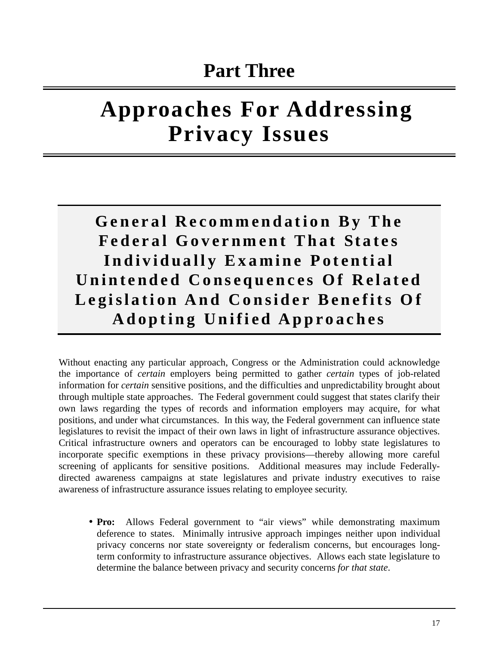# **Approaches For Addressing Privacy Issues**

**General Recommendation By The Federal Government That States Individually Examine Potential Unintended Consequences Of Related Legislation And Consider Benefits Of Adopting Unified Approaches**

Without enacting any particular approach, Congress or the Administration could acknowledge the importance of *certain* employers being permitted to gather *certain* types of job-related information for *certain* sensitive positions, and the difficulties and unpredictability brought about through multiple state approaches. The Federal government could suggest that states clarify their own laws regarding the types of records and information employers may acquire, for what positions, and under what circumstances. In this way, the Federal government can influence state legislatures to revisit the impact of their own laws in light of infrastructure assurance objectives. Critical infrastructure owners and operators can be encouraged to lobby state legislatures to incorporate specific exemptions in these privacy provisions—thereby allowing more careful screening of applicants for sensitive positions. Additional measures may include Federallydirected awareness campaigns at state legislatures and private industry executives to raise awareness of infrastructure assurance issues relating to employee security.

• **Pro:** Allows Federal government to "air views" while demonstrating maximum deference to states. Minimally intrusive approach impinges neither upon individual privacy concerns nor state sovereignty or federalism concerns, but encourages longterm conformity to infrastructure assurance objectives. Allows each state legislature to determine the balance between privacy and security concerns *for that state*.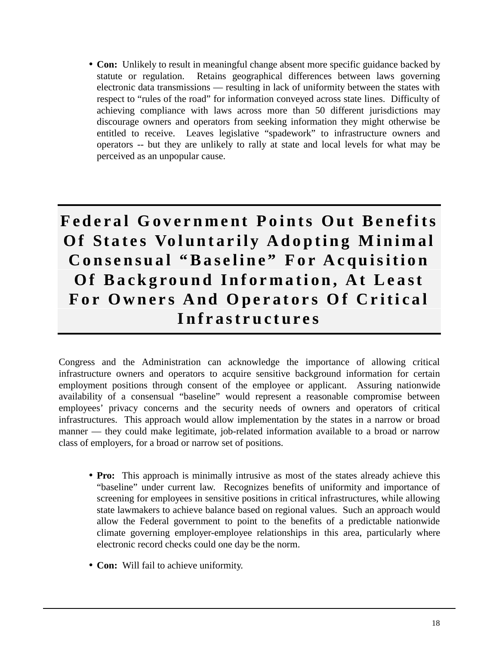• **Con:** Unlikely to result in meaningful change absent more specific guidance backed by statute or regulation. Retains geographical differences between laws governing electronic data transmissions — resulting in lack of uniformity between the states with respect to "rules of the road" for information conveyed across state lines. Difficulty of achieving compliance with laws across more than 50 different jurisdictions may discourage owners and operators from seeking information they might otherwise be entitled to receive. Leaves legislative "spadework" to infrastructure owners and operators -- but they are unlikely to rally at state and local levels for what may be perceived as an unpopular cause.

## **Federal Government Points Out Benefits Of States Voluntarily Adopting Minimal Consensual "Baseline" For Acquisition Of Background Information, At Least For Owners And Operators Of Critical Infrastructures**

Congress and the Administration can acknowledge the importance of allowing critical infrastructure owners and operators to acquire sensitive background information for certain employment positions through consent of the employee or applicant. Assuring nationwide availability of a consensual "baseline" would represent a reasonable compromise between employees' privacy concerns and the security needs of owners and operators of critical infrastructures. This approach would allow implementation by the states in a narrow or broad manner — they could make legitimate, job-related information available to a broad or narrow class of employers, for a broad or narrow set of positions.

- **Pro:** This approach is minimally intrusive as most of the states already achieve this "baseline" under current law. Recognizes benefits of uniformity and importance of screening for employees in sensitive positions in critical infrastructures, while allowing state lawmakers to achieve balance based on regional values. Such an approach would allow the Federal government to point to the benefits of a predictable nationwide climate governing employer-employee relationships in this area, particularly where electronic record checks could one day be the norm.
- **Con:** Will fail to achieve uniformity.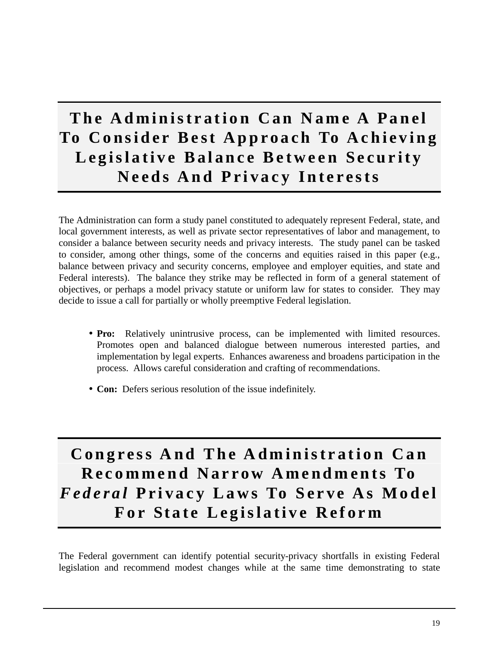## **The Administration Can Name A Panel To Consider Best Approach To Achieving Legislative Balance Between Security Needs And Privacy Interests**

The Administration can form a study panel constituted to adequately represent Federal, state, and local government interests, as well as private sector representatives of labor and management, to consider a balance between security needs and privacy interests. The study panel can be tasked to consider, among other things, some of the concerns and equities raised in this paper (e.g., balance between privacy and security concerns, employee and employer equities, and state and Federal interests). The balance they strike may be reflected in form of a general statement of objectives, or perhaps a model privacy statute or uniform law for states to consider. They may decide to issue a call for partially or wholly preemptive Federal legislation.

- **Pro:** Relatively unintrusive process, can be implemented with limited resources. Promotes open and balanced dialogue between numerous interested parties, and implementation by legal experts. Enhances awareness and broadens participation in the process. Allows careful consideration and crafting of recommendations.
- **Con:** Defers serious resolution of the issue indefinitely.

## **Congress And The Administration Can Recommend Narrow Amendments To** *Federal* **Privacy Laws To Serve As Model For State Legislative Reform**

The Federal government can identify potential security-privacy shortfalls in existing Federal legislation and recommend modest changes while at the same time demonstrating to state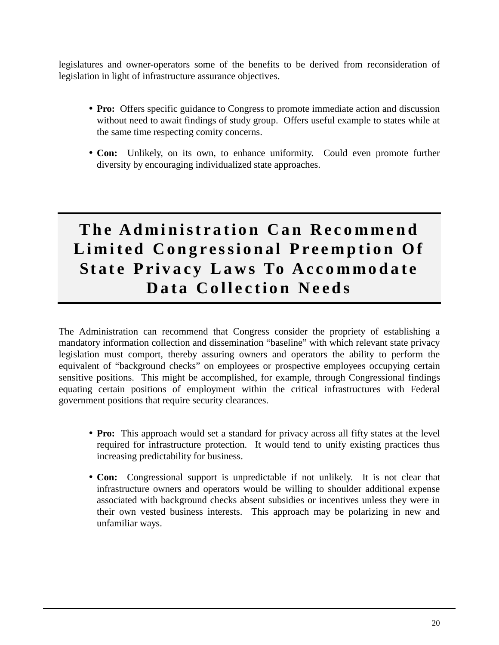legislatures and owner-operators some of the benefits to be derived from reconsideration of legislation in light of infrastructure assurance objectives.

- **Pro:** Offers specific guidance to Congress to promote immediate action and discussion without need to await findings of study group. Offers useful example to states while at the same time respecting comity concerns.
- **Con:** Unlikely, on its own, to enhance uniformity. Could even promote further diversity by encouraging individualized state approaches.

## **The Administration Can Recommend Limited Congressional Preemption Of State Privacy Laws To Accommodate Data Collection Needs**

The Administration can recommend that Congress consider the propriety of establishing a mandatory information collection and dissemination "baseline" with which relevant state privacy legislation must comport, thereby assuring owners and operators the ability to perform the equivalent of "background checks" on employees or prospective employees occupying certain sensitive positions. This might be accomplished, for example, through Congressional findings equating certain positions of employment within the critical infrastructures with Federal government positions that require security clearances.

- **Pro:** This approach would set a standard for privacy across all fifty states at the level required for infrastructure protection. It would tend to unify existing practices thus increasing predictability for business.
- **Con:** Congressional support is unpredictable if not unlikely. It is not clear that infrastructure owners and operators would be willing to shoulder additional expense associated with background checks absent subsidies or incentives unless they were in their own vested business interests. This approach may be polarizing in new and unfamiliar ways.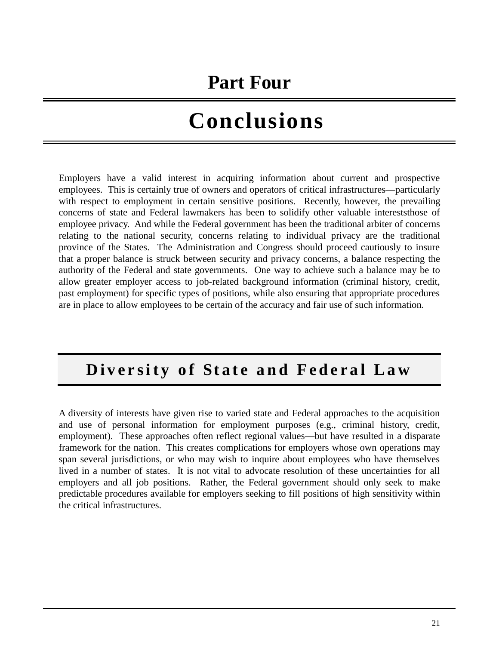## **Part Four**

# **Conclusions**

Employers have a valid interest in acquiring information about current and prospective employees. This is certainly true of owners and operators of critical infrastructures—particularly with respect to employment in certain sensitive positions. Recently, however, the prevailing concerns of state and Federal lawmakers has been to solidify other valuable intereststhose of employee privacy. And while the Federal government has been the traditional arbiter of concerns relating to the national security, concerns relating to individual privacy are the traditional province of the States. The Administration and Congress should proceed cautiously to insure that a proper balance is struck between security and privacy concerns, a balance respecting the authority of the Federal and state governments. One way to achieve such a balance may be to allow greater employer access to job-related background information (criminal history, credit, past employment) for specific types of positions, while also ensuring that appropriate procedures are in place to allow employees to be certain of the accuracy and fair use of such information.

### **Diversity of State and Federal Law**

A diversity of interests have given rise to varied state and Federal approaches to the acquisition and use of personal information for employment purposes (e.g., criminal history, credit, employment). These approaches often reflect regional values—but have resulted in a disparate framework for the nation. This creates complications for employers whose own operations may span several jurisdictions, or who may wish to inquire about employees who have themselves lived in a number of states. It is not vital to advocate resolution of these uncertainties for all employers and all job positions. Rather, the Federal government should only seek to make predictable procedures available for employers seeking to fill positions of high sensitivity within the critical infrastructures.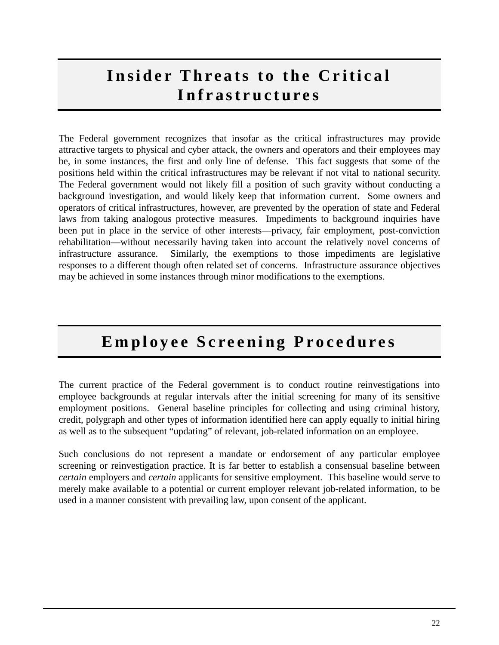## **Insider Threats to the Critical Infrastructures**

The Federal government recognizes that insofar as the critical infrastructures may provide attractive targets to physical and cyber attack, the owners and operators and their employees may be, in some instances, the first and only line of defense. This fact suggests that some of the positions held within the critical infrastructures may be relevant if not vital to national security. The Federal government would not likely fill a position of such gravity without conducting a background investigation, and would likely keep that information current. Some owners and operators of critical infrastructures, however, are prevented by the operation of state and Federal laws from taking analogous protective measures. Impediments to background inquiries have been put in place in the service of other interests—privacy, fair employment, post-conviction rehabilitation—without necessarily having taken into account the relatively novel concerns of infrastructure assurance. Similarly, the exemptions to those impediments are legislative responses to a different though often related set of concerns. Infrastructure assurance objectives may be achieved in some instances through minor modifications to the exemptions.

## **Employee Screening Procedures**

The current practice of the Federal government is to conduct routine reinvestigations into employee backgrounds at regular intervals after the initial screening for many of its sensitive employment positions. General baseline principles for collecting and using criminal history, credit, polygraph and other types of information identified here can apply equally to initial hiring as well as to the subsequent "updating" of relevant, job-related information on an employee.

Such conclusions do not represent a mandate or endorsement of any particular employee screening or reinvestigation practice. It is far better to establish a consensual baseline between *certain* employers and *certain* applicants for sensitive employment. This baseline would serve to merely make available to a potential or current employer relevant job-related information, to be used in a manner consistent with prevailing law, upon consent of the applicant.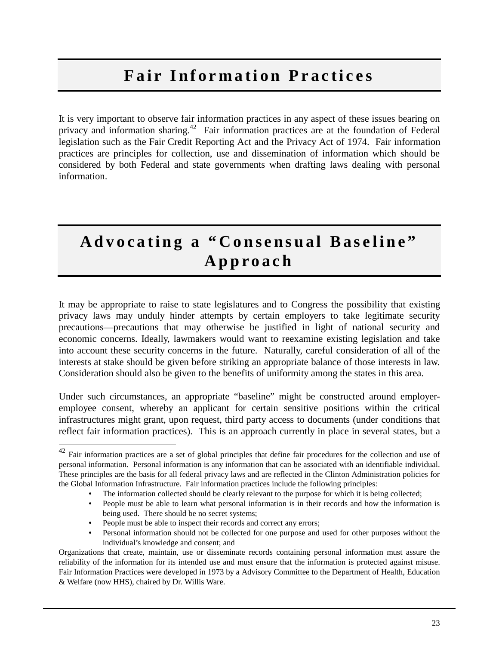## **Fair Information Practices**

It is very important to observe fair information practices in any aspect of these issues bearing on privacy and information sharing.<sup>42</sup> Fair information practices are at the foundation of Federal legislation such as the Fair Credit Reporting Act and the Privacy Act of 1974. Fair information practices are principles for collection, use and dissemination of information which should be considered by both Federal and state governments when drafting laws dealing with personal information.

## **Advocating a "Consensual Baseline" Approach**

It may be appropriate to raise to state legislatures and to Congress the possibility that existing privacy laws may unduly hinder attempts by certain employers to take legitimate security precautions—precautions that may otherwise be justified in light of national security and economic concerns. Ideally, lawmakers would want to reexamine existing legislation and take into account these security concerns in the future. Naturally, careful consideration of all of the interests at stake should be given before striking an appropriate balance of those interests in law. Consideration should also be given to the benefits of uniformity among the states in this area.

Under such circumstances, an appropriate "baseline" might be constructed around employeremployee consent, whereby an applicant for certain sensitive positions within the critical infrastructures might grant, upon request, third party access to documents (under conditions that reflect fair information practices). This is an approach currently in place in several states, but a

 $\overline{\phantom{a}}$  $42$  Fair information practices are a set of global principles that define fair procedures for the collection and use of personal information. Personal information is any information that can be associated with an identifiable individual. These principles are the basis for all federal privacy laws and are reflected in the Clinton Administration policies for the Global Information Infrastructure. Fair information practices include the following principles:

The information collected should be clearly relevant to the purpose for which it is being collected;

<sup>•</sup> People must be able to learn what personal information is in their records and how the information is being used. There should be no secret systems;

<sup>•</sup> People must be able to inspect their records and correct any errors;

<sup>•</sup> Personal information should not be collected for one purpose and used for other purposes without the individual's knowledge and consent; and

Organizations that create, maintain, use or disseminate records containing personal information must assure the reliability of the information for its intended use and must ensure that the information is protected against misuse. Fair Information Practices were developed in 1973 by a Advisory Committee to the Department of Health, Education & Welfare (now HHS), chaired by Dr. Willis Ware.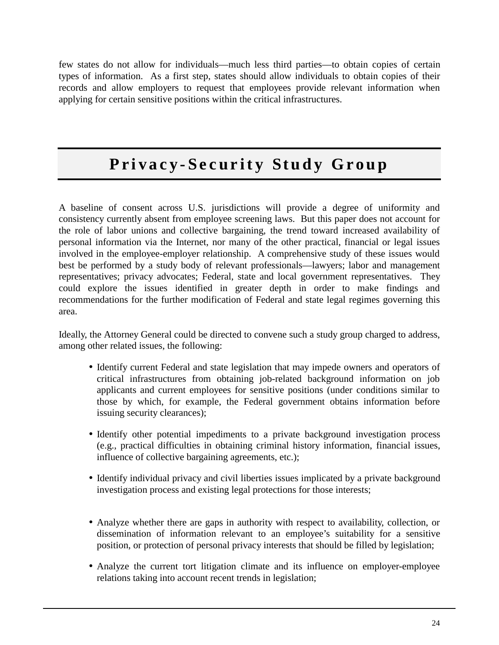few states do not allow for individuals—much less third parties—to obtain copies of certain types of information. As a first step, states should allow individuals to obtain copies of their records and allow employers to request that employees provide relevant information when applying for certain sensitive positions within the critical infrastructures.

## **Privacy-Security Study Group**

A baseline of consent across U.S. jurisdictions will provide a degree of uniformity and consistency currently absent from employee screening laws. But this paper does not account for the role of labor unions and collective bargaining, the trend toward increased availability of personal information via the Internet, nor many of the other practical, financial or legal issues involved in the employee-employer relationship. A comprehensive study of these issues would best be performed by a study body of relevant professionals—lawyers; labor and management representatives; privacy advocates; Federal, state and local government representatives. They could explore the issues identified in greater depth in order to make findings and recommendations for the further modification of Federal and state legal regimes governing this area.

Ideally, the Attorney General could be directed to convene such a study group charged to address, among other related issues, the following:

- Identify current Federal and state legislation that may impede owners and operators of critical infrastructures from obtaining job-related background information on job applicants and current employees for sensitive positions (under conditions similar to those by which, for example, the Federal government obtains information before issuing security clearances);
- Identify other potential impediments to a private background investigation process (e.g., practical difficulties in obtaining criminal history information, financial issues, influence of collective bargaining agreements, etc.);
- Identify individual privacy and civil liberties issues implicated by a private background investigation process and existing legal protections for those interests;
- Analyze whether there are gaps in authority with respect to availability, collection, or dissemination of information relevant to an employee's suitability for a sensitive position, or protection of personal privacy interests that should be filled by legislation;
- Analyze the current tort litigation climate and its influence on employer-employee relations taking into account recent trends in legislation;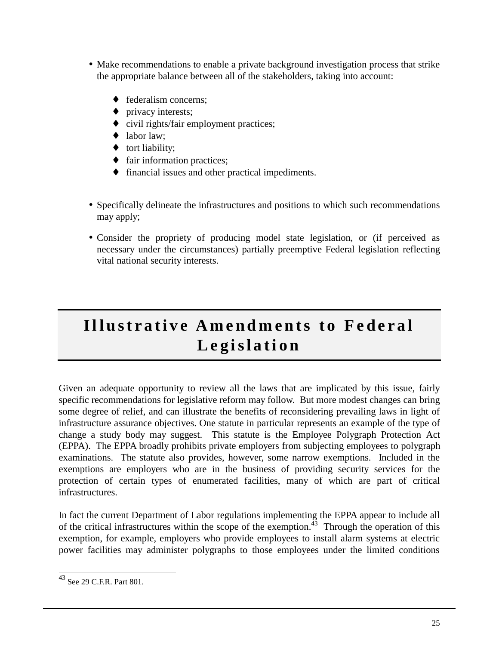- Make recommendations to enable a private background investigation process that strike the appropriate balance between all of the stakeholders, taking into account:
	- $\triangle$  federalism concerns:
	- privacy interests;
	- ♦ civil rights/fair employment practices;
	- labor law:
	- ♦ tort liability;
	- ♦ fair information practices;
	- ♦ financial issues and other practical impediments.
- Specifically delineate the infrastructures and positions to which such recommendations may apply;
- Consider the propriety of producing model state legislation, or (if perceived as necessary under the circumstances) partially preemptive Federal legislation reflecting vital national security interests.

## **Illustrative Amendments to Federal Legislation**

Given an adequate opportunity to review all the laws that are implicated by this issue, fairly specific recommendations for legislative reform may follow. But more modest changes can bring some degree of relief, and can illustrate the benefits of reconsidering prevailing laws in light of infrastructure assurance objectives. One statute in particular represents an example of the type of change a study body may suggest. This statute is the Employee Polygraph Protection Act (EPPA). The EPPA broadly prohibits private employers from subjecting employees to polygraph examinations. The statute also provides, however, some narrow exemptions. Included in the exemptions are employers who are in the business of providing security services for the protection of certain types of enumerated facilities, many of which are part of critical infrastructures.

In fact the current Department of Labor regulations implementing the EPPA appear to include all of the critical infrastructures within the scope of the exemption. $43$  Through the operation of this exemption, for example, employers who provide employees to install alarm systems at electric power facilities may administer polygraphs to those employees under the limited conditions

 $\overline{\phantom{a}}$  $^{43}$  See 29 C.F.R. Part 801.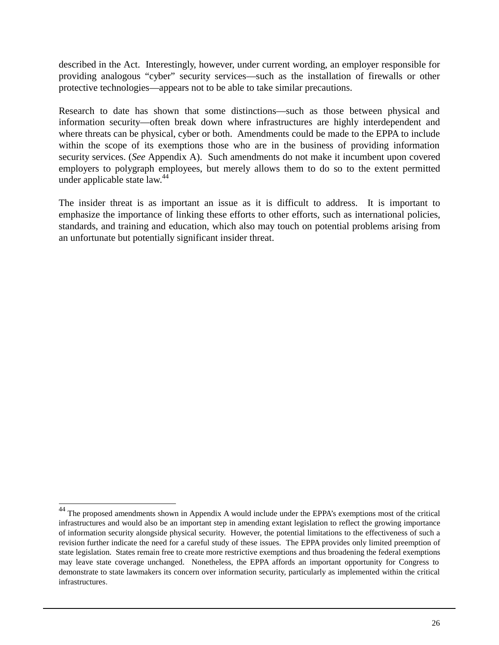described in the Act. Interestingly, however, under current wording, an employer responsible for providing analogous "cyber" security services—such as the installation of firewalls or other protective technologies—appears not to be able to take similar precautions.

Research to date has shown that some distinctions—such as those between physical and information security—often break down where infrastructures are highly interdependent and where threats can be physical, cyber or both. Amendments could be made to the EPPA to include within the scope of its exemptions those who are in the business of providing information security services. (*See* Appendix A). Such amendments do not make it incumbent upon covered employers to polygraph employees, but merely allows them to do so to the extent permitted under applicable state law. $44$ 

The insider threat is as important an issue as it is difficult to address. It is important to emphasize the importance of linking these efforts to other efforts, such as international policies, standards, and training and education, which also may touch on potential problems arising from an unfortunate but potentially significant insider threat.

 $\overline{\phantom{a}}$ 

<sup>&</sup>lt;sup>44</sup> The proposed amendments shown in Appendix A would include under the EPPA's exemptions most of the critical infrastructures and would also be an important step in amending extant legislation to reflect the growing importance of information security alongside physical security. However, the potential limitations to the effectiveness of such a revision further indicate the need for a careful study of these issues. The EPPA provides only limited preemption of state legislation. States remain free to create more restrictive exemptions and thus broadening the federal exemptions may leave state coverage unchanged. Nonetheless, the EPPA affords an important opportunity for Congress to demonstrate to state lawmakers its concern over information security, particularly as implemented within the critical infrastructures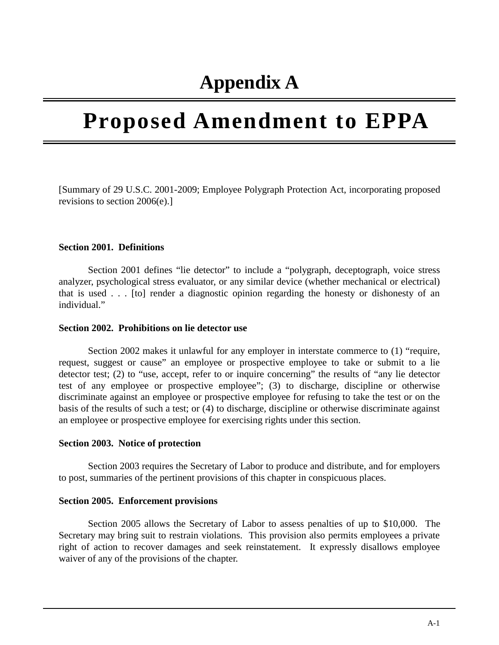## **Appendix A**

# **Proposed Amendment to EPPA**

[Summary of 29 U.S.C. 2001-2009; Employee Polygraph Protection Act, incorporating proposed revisions to section 2006(e).]

#### **Section 2001. Definitions**

Section 2001 defines "lie detector" to include a "polygraph, deceptograph, voice stress analyzer, psychological stress evaluator, or any similar device (whether mechanical or electrical) that is used . . . [to] render a diagnostic opinion regarding the honesty or dishonesty of an individual."

#### **Section 2002. Prohibitions on lie detector use**

Section 2002 makes it unlawful for any employer in interstate commerce to (1) "require, request, suggest or cause" an employee or prospective employee to take or submit to a lie detector test; (2) to "use, accept, refer to or inquire concerning" the results of "any lie detector test of any employee or prospective employee"; (3) to discharge, discipline or otherwise discriminate against an employee or prospective employee for refusing to take the test or on the basis of the results of such a test; or (4) to discharge, discipline or otherwise discriminate against an employee or prospective employee for exercising rights under this section.

#### **Section 2003. Notice of protection**

Section 2003 requires the Secretary of Labor to produce and distribute, and for employers to post, summaries of the pertinent provisions of this chapter in conspicuous places.

#### **Section 2005. Enforcement provisions**

Section 2005 allows the Secretary of Labor to assess penalties of up to \$10,000. The Secretary may bring suit to restrain violations. This provision also permits employees a private right of action to recover damages and seek reinstatement. It expressly disallows employee waiver of any of the provisions of the chapter.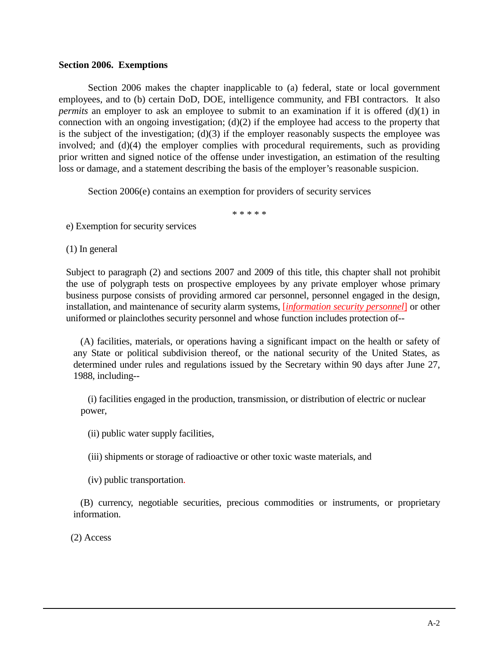#### **Section 2006. Exemptions**

Section 2006 makes the chapter inapplicable to (a) federal, state or local government employees, and to (b) certain DoD, DOE, intelligence community, and FBI contractors. It also *permits* an employer to ask an employee to submit to an examination if it is offered (d)(1) in connection with an ongoing investigation; (d)(2) if the employee had access to the property that is the subject of the investigation;  $(d)(3)$  if the employer reasonably suspects the employee was involved; and (d)(4) the employer complies with procedural requirements, such as providing prior written and signed notice of the offense under investigation, an estimation of the resulting loss or damage, and a statement describing the basis of the employer's reasonable suspicion.

Section 2006(e) contains an exemption for providers of security services

\* \* \* \* \*

e) Exemption for security services

(1) In general

Subject to paragraph (2) and sections 2007 and 2009 of this title, this chapter shall not prohibit the use of polygraph tests on prospective employees by any private employer whose primary business purpose consists of providing armored car personnel, personnel engaged in the design, installation, and maintenance of security alarm systems, [*information security personnel*] or other uniformed or plainclothes security personnel and whose function includes protection of--

 (A) facilities, materials, or operations having a significant impact on the health or safety of any State or political subdivision thereof, or the national security of the United States, as determined under rules and regulations issued by the Secretary within 90 days after June 27, 1988, including--

 (i) facilities engaged in the production, transmission, or distribution of electric or nuclear power,

(ii) public water supply facilities,

(iii) shipments or storage of radioactive or other toxic waste materials, and

(iv) public transportation.

 (B) currency, negotiable securities, precious commodities or instruments, or proprietary information.

(2) Access